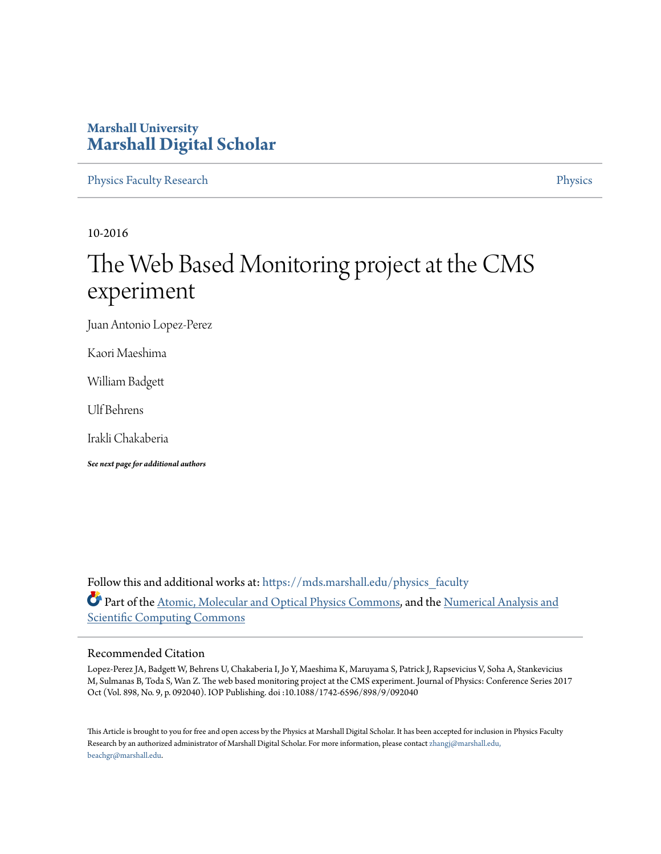### **Marshall University [Marshall Digital Scholar](https://mds.marshall.edu?utm_source=mds.marshall.edu%2Fphysics_faculty%2F85&utm_medium=PDF&utm_campaign=PDFCoverPages)**

[Physics Faculty Research](https://mds.marshall.edu/physics_faculty?utm_source=mds.marshall.edu%2Fphysics_faculty%2F85&utm_medium=PDF&utm_campaign=PDFCoverPages) [Physics](https://mds.marshall.edu/physics?utm_source=mds.marshall.edu%2Fphysics_faculty%2F85&utm_medium=PDF&utm_campaign=PDFCoverPages)

10-2016

## The Web Based Monitoring project at the CMS experiment

Juan Antonio Lopez-Perez

Kaori Maeshima

William Badgett

Ulf Behrens

Irakli Chakaberia

*See next page for additional authors*

Follow this and additional works at: [https://mds.marshall.edu/physics\\_faculty](https://mds.marshall.edu/physics_faculty?utm_source=mds.marshall.edu%2Fphysics_faculty%2F85&utm_medium=PDF&utm_campaign=PDFCoverPages) Part of the [Atomic, Molecular and Optical Physics Commons,](http://network.bepress.com/hgg/discipline/195?utm_source=mds.marshall.edu%2Fphysics_faculty%2F85&utm_medium=PDF&utm_campaign=PDFCoverPages) and the [Numerical Analysis and](http://network.bepress.com/hgg/discipline/147?utm_source=mds.marshall.edu%2Fphysics_faculty%2F85&utm_medium=PDF&utm_campaign=PDFCoverPages) [Scientific Computing Commons](http://network.bepress.com/hgg/discipline/147?utm_source=mds.marshall.edu%2Fphysics_faculty%2F85&utm_medium=PDF&utm_campaign=PDFCoverPages)

#### Recommended Citation

Lopez-Perez JA, Badgett W, Behrens U, Chakaberia I, Jo Y, Maeshima K, Maruyama S, Patrick J, Rapsevicius V, Soha A, Stankevicius M, Sulmanas B, Toda S, Wan Z. The web based monitoring project at the CMS experiment. Journal of Physics: Conference Series 2017 Oct (Vol. 898, No. 9, p. 092040). IOP Publishing. doi :10.1088/1742-6596/898/9/092040

This Article is brought to you for free and open access by the Physics at Marshall Digital Scholar. It has been accepted for inclusion in Physics Faculty Research by an authorized administrator of Marshall Digital Scholar. For more information, please contact [zhangj@marshall.edu,](mailto:zhangj@marshall.edu,%20beachgr@marshall.edu) [beachgr@marshall.edu](mailto:zhangj@marshall.edu,%20beachgr@marshall.edu).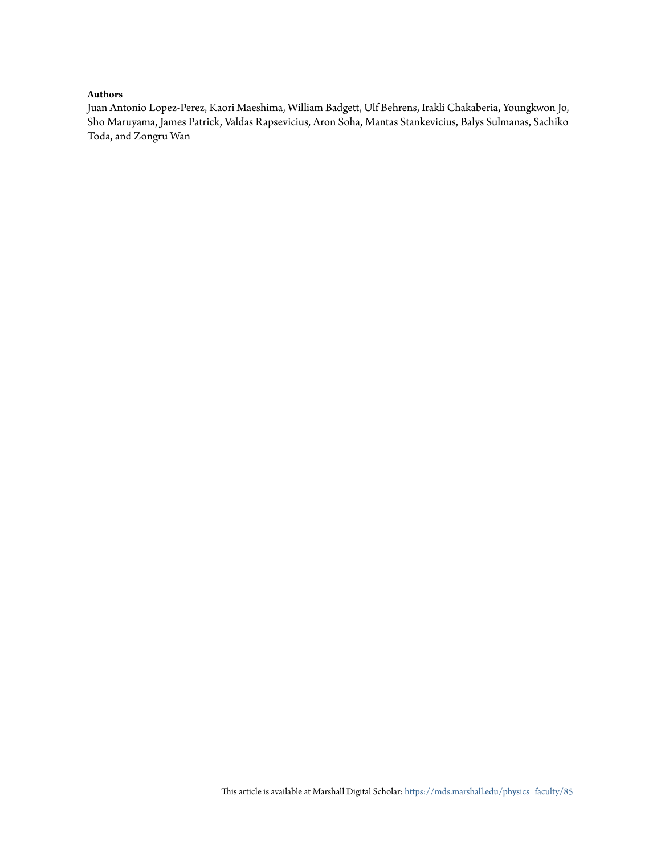#### **Authors**

Juan Antonio Lopez-Perez, Kaori Maeshima, William Badgett, Ulf Behrens, Irakli Chakaberia, Youngkwon Jo, Sho Maruyama, James Patrick, Valdas Rapsevicius, Aron Soha, Mantas Stankevicius, Balys Sulmanas, Sachiko Toda, and Zongru Wan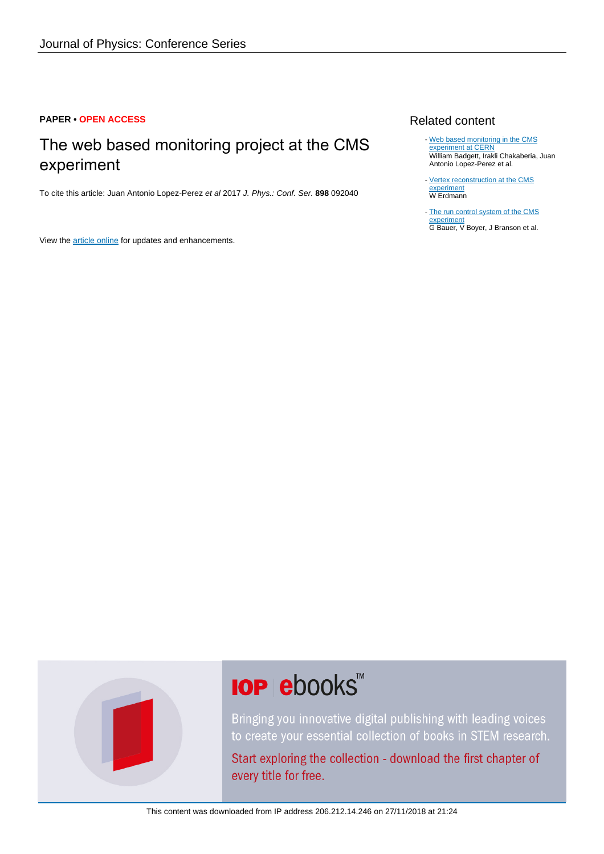#### **PAPER • OPEN ACCESS**

## The web based monitoring project at the CMS experiment

To cite this article: Juan Antonio Lopez-Perez et al 2017 J. Phys.: Conf. Ser. **898** 092040

View the [article online](https://doi.org/10.1088/1742-6596/898/9/092040) for updates and enhancements.

#### Related content

- [Web based monitoring in the CMS](http://iopscience.iop.org/article/10.1088/1742-6596/331/2/022025) [experiment at CERN](http://iopscience.iop.org/article/10.1088/1742-6596/331/2/022025) William Badgett, Irakli Chakaberia, Juan Antonio Lopez-Perez et al.
- [Vertex reconstruction at the CMS](http://iopscience.iop.org/article/10.1088/1742-6596/110/9/092009) [experiment](http://iopscience.iop.org/article/10.1088/1742-6596/110/9/092009) W Erdmann
- [The run control system of the CMS](http://iopscience.iop.org/article/10.1088/1742-6596/119/2/022010) [experiment](http://iopscience.iop.org/article/10.1088/1742-6596/119/2/022010) G Bauer, V Boyer, J Branson et al.



# **IOP ebooks**™

Bringing you innovative digital publishing with leading voices to create your essential collection of books in STEM research.

Start exploring the collection - download the first chapter of every title for free.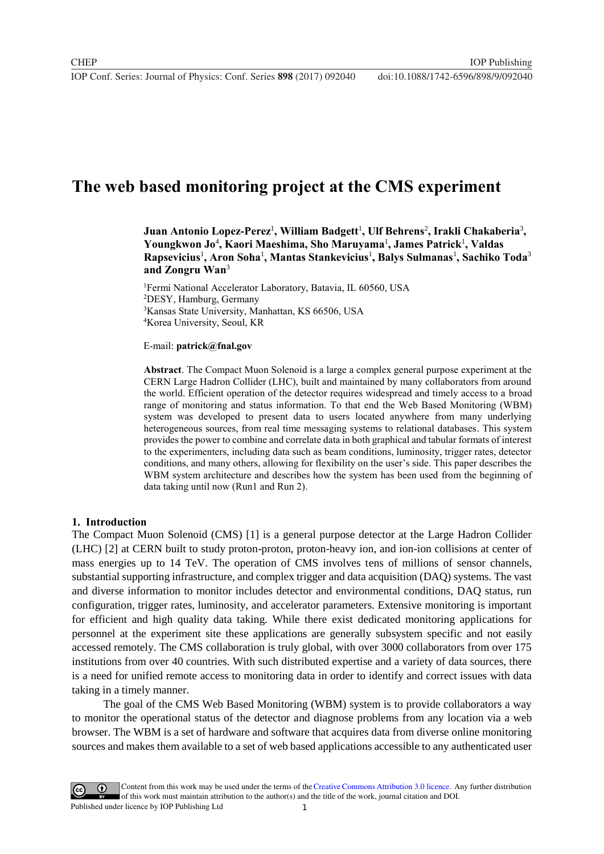**1234567890** IOP Conf. Series: Journal of Physics: Conf. Series **898** (2017) 092040 doi :10.1088/1742-6596/898/9/092040

## **The web based monitoring project at the CMS experiment**

**Juan Antonio Lopez-Perez**<sup>1</sup> **, William Badgett**<sup>1</sup> **, Ulf Behrens**<sup>2</sup> **, Irakli Chakaberia**<sup>3</sup> **, Youngkwon Jo**<sup>4</sup> **, Kaori Maeshima, Sho Maruyama**<sup>1</sup> **, James Patrick**<sup>1</sup> **, Valdas Rapsevicius**<sup>1</sup> **, Aron Soha**<sup>1</sup> **, Mantas Stankevicius**<sup>1</sup> **, Balys Sulmanas**<sup>1</sup> **, Sachiko Toda**<sup>3</sup> **and Zongru Wan**<sup>3</sup>

<sup>1</sup>Fermi National Accelerator Laboratory, Batavia, IL 60560, USA DESY, Hamburg, Germany Kansas State University, Manhattan, KS 66506, USA Korea University, Seoul, KR

#### E-mail: **patrick@fnal.gov**

**Abstract**. The Compact Muon Solenoid is a large a complex general purpose experiment at the CERN Large Hadron Collider (LHC), built and maintained by many collaborators from around the world. Efficient operation of the detector requires widespread and timely access to a broad range of monitoring and status information. To that end the Web Based Monitoring (WBM) system was developed to present data to users located anywhere from many underlying heterogeneous sources, from real time messaging systems to relational databases. This system provides the power to combine and correlate data in both graphical and tabular formats of interest to the experimenters, including data such as beam conditions, luminosity, trigger rates, detector conditions, and many others, allowing for flexibility on the user's side. This paper describes the WBM system architecture and describes how the system has been used from the beginning of data taking until now (Run1 and Run 2).

#### **1. Introduction**

The Compact Muon Solenoid (CMS) [1] is a general purpose detector at the Large Hadron Collider (LHC) [2] at CERN built to study proton-proton, proton-heavy ion, and ion-ion collisions at center of mass energies up to 14 TeV. The operation of CMS involves tens of millions of sensor channels, substantial supporting infrastructure, and complex trigger and data acquisition (DAQ) systems. The vast and diverse information to monitor includes detector and environmental conditions, DAQ status, run configuration, trigger rates, luminosity, and accelerator parameters. Extensive monitoring is important for efficient and high quality data taking. While there exist dedicated monitoring applications for personnel at the experiment site these applications are generally subsystem specific and not easily accessed remotely. The CMS collaboration is truly global, with over 3000 collaborators from over 175 institutions from over 40 countries. With such distributed expertise and a variety of data sources, there is a need for unified remote access to monitoring data in order to identify and correct issues with data taking in a timely manner.

 The goal of the CMS Web Based Monitoring (WBM) system is to provide collaborators a way to monitor the operational status of the detector and diagnose problems from any location via a web browser. The WBM is a set of hardware and software that acquires data from diverse online monitoring sources and makes them available to a set of web based applications accessible to any authenticated user

1 Content from this work may be used under the terms of the[Creative Commons Attribution 3.0 licence.](http://creativecommons.org/licenses/by/3.0) Any further distribution of this work must maintain attribution to the author(s) and the title of the work, journal citation and DOI. Published under licence by IOP Publishing Ltd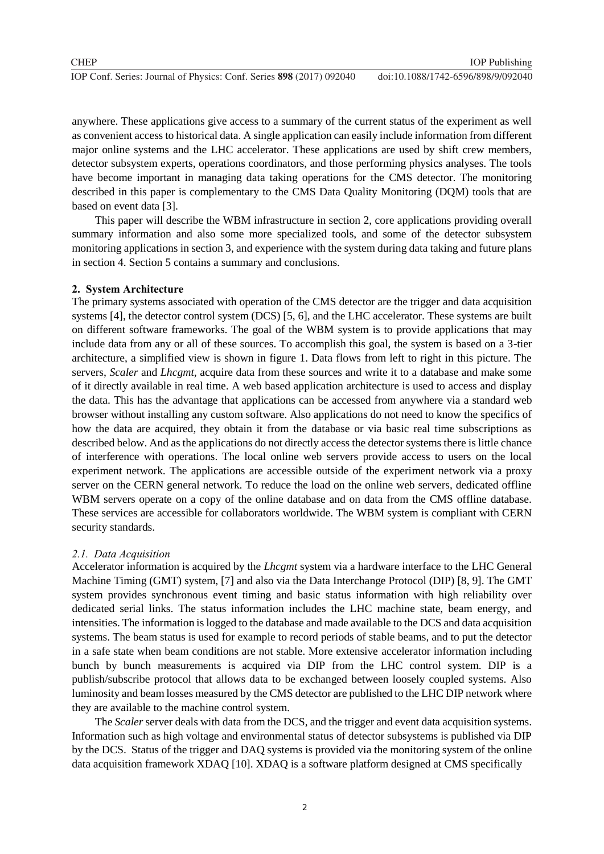| <b>CHEP</b>                                                          | <b>IOP</b> Publishing              |
|----------------------------------------------------------------------|------------------------------------|
| IOP Conf. Series: Journal of Physics: Conf. Series 898 (2017) 092040 | doi:10.1088/1742-6596/898/9/092040 |

anywhere. These applications give access to a summary of the current status of the experiment as well as convenient access to historical data. A single application can easily include information from different major online systems and the LHC accelerator. These applications are used by shift crew members, detector subsystem experts, operations coordinators, and those performing physics analyses. The tools have become important in managing data taking operations for the CMS detector. The monitoring described in this paper is complementary to the CMS Data Quality Monitoring (DQM) tools that are based on event data [3].

This paper will describe the WBM infrastructure in section 2, core applications providing overall summary information and also some more specialized tools, and some of the detector subsystem monitoring applications in section 3, and experience with the system during data taking and future plans in section 4. Section 5 contains a summary and conclusions.

#### **2. System Architecture**

The primary systems associated with operation of the CMS detector are the trigger and data acquisition systems [4], the detector control system (DCS) [5, 6], and the LHC accelerator. These systems are built on different software frameworks. The goal of the WBM system is to provide applications that may include data from any or all of these sources. To accomplish this goal, the system is based on a 3-tier architecture, a simplified view is shown in figure 1. Data flows from left to right in this picture. The servers, *Scaler* and *Lhcgmt*, acquire data from these sources and write it to a database and make some of it directly available in real time. A web based application architecture is used to access and display the data. This has the advantage that applications can be accessed from anywhere via a standard web browser without installing any custom software. Also applications do not need to know the specifics of how the data are acquired, they obtain it from the database or via basic real time subscriptions as described below. And as the applications do not directly access the detector systems there is little chance of interference with operations. The local online web servers provide access to users on the local experiment network. The applications are accessible outside of the experiment network via a proxy server on the CERN general network. To reduce the load on the online web servers, dedicated offline WBM servers operate on a copy of the online database and on data from the CMS offline database. These services are accessible for collaborators worldwide. The WBM system is compliant with CERN security standards.

#### *2.1. Data Acquisition*

Accelerator information is acquired by the *Lhcgmt* system via a hardware interface to the LHC General Machine Timing (GMT) system, [7] and also via the Data Interchange Protocol (DIP) [8, 9]. The GMT system provides synchronous event timing and basic status information with high reliability over dedicated serial links. The status information includes the LHC machine state, beam energy, and intensities. The information is logged to the database and made available to the DCS and data acquisition systems. The beam status is used for example to record periods of stable beams, and to put the detector in a safe state when beam conditions are not stable. More extensive accelerator information including bunch by bunch measurements is acquired via DIP from the LHC control system. DIP is a publish/subscribe protocol that allows data to be exchanged between loosely coupled systems. Also luminosity and beam losses measured by the CMS detector are published to the LHC DIP network where they are available to the machine control system.

The *Scaler* server deals with data from the DCS, and the trigger and event data acquisition systems. Information such as high voltage and environmental status of detector subsystems is published via DIP by the DCS. Status of the trigger and DAQ systems is provided via the monitoring system of the online data acquisition framework XDAQ [10]. XDAQ is a software platform designed at CMS specifically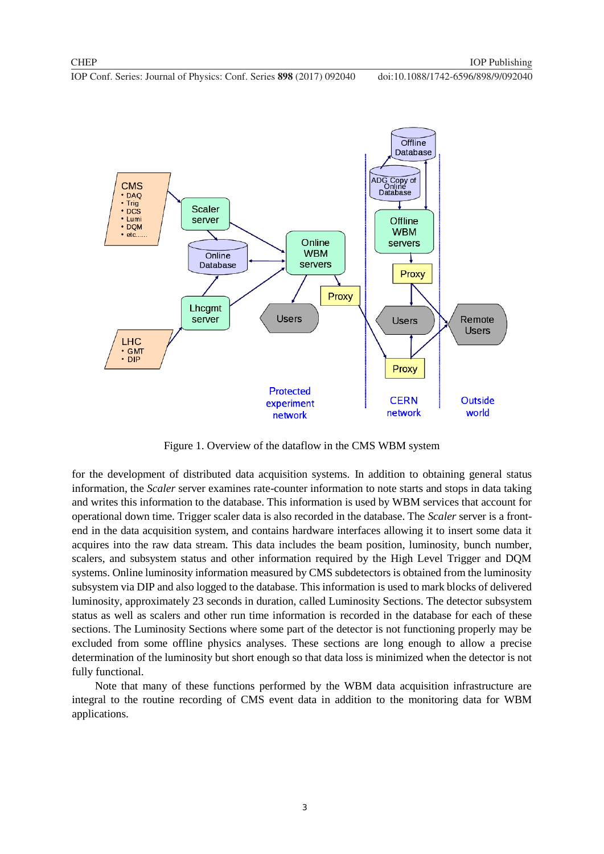**1234567890** IOP Conf. Series: Journal of Physics: Conf. Series **898** (2017) 092040 doi :10.1088/1742-6596/898/9/092040



Figure 1. Overview of the dataflow in the CMS WBM system

for the development of distributed data acquisition systems. In addition to obtaining general status information, the *Scaler* server examines rate-counter information to note starts and stops in data taking and writes this information to the database. This information is used by WBM services that account for operational down time. Trigger scaler data is also recorded in the database. The *Scaler* server is a frontend in the data acquisition system, and contains hardware interfaces allowing it to insert some data it acquires into the raw data stream. This data includes the beam position, luminosity, bunch number, scalers, and subsystem status and other information required by the High Level Trigger and DQM systems. Online luminosity information measured by CMS subdetectors is obtained from the luminosity subsystem via DIP and also logged to the database. This information is used to mark blocks of delivered luminosity, approximately 23 seconds in duration, called Luminosity Sections. The detector subsystem status as well as scalers and other run time information is recorded in the database for each of these sections. The Luminosity Sections where some part of the detector is not functioning properly may be excluded from some offline physics analyses. These sections are long enough to allow a precise determination of the luminosity but short enough so that data loss is minimized when the detector is not fully functional.

Note that many of these functions performed by the WBM data acquisition infrastructure are integral to the routine recording of CMS event data in addition to the monitoring data for WBM applications.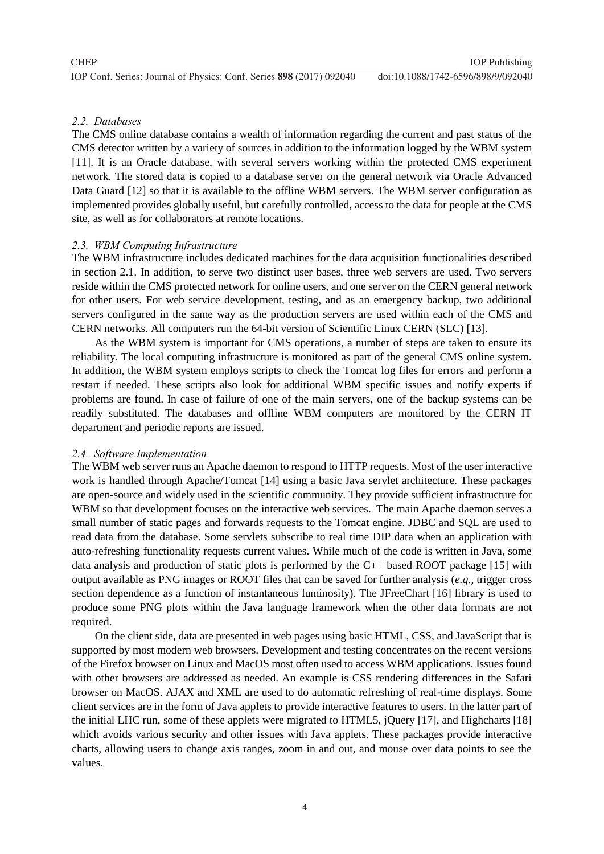#### *2.2. Databases*

The CMS online database contains a wealth of information regarding the current and past status of the CMS detector written by a variety of sources in addition to the information logged by the WBM system [11]. It is an Oracle database, with several servers working within the protected CMS experiment network. The stored data is copied to a database server on the general network via Oracle Advanced Data Guard [12] so that it is available to the offline WBM servers. The WBM server configuration as implemented provides globally useful, but carefully controlled, access to the data for people at the CMS site, as well as for collaborators at remote locations.

#### *2.3. WBM Computing Infrastructure*

The WBM infrastructure includes dedicated machines for the data acquisition functionalities described in section 2.1. In addition, to serve two distinct user bases, three web servers are used. Two servers reside within the CMS protected network for online users, and one server on the CERN general network for other users. For web service development, testing, and as an emergency backup, two additional servers configured in the same way as the production servers are used within each of the CMS and CERN networks. All computers run the 64-bit version of Scientific Linux CERN (SLC) [13].

As the WBM system is important for CMS operations, a number of steps are taken to ensure its reliability. The local computing infrastructure is monitored as part of the general CMS online system. In addition, the WBM system employs scripts to check the Tomcat log files for errors and perform a restart if needed. These scripts also look for additional WBM specific issues and notify experts if problems are found. In case of failure of one of the main servers, one of the backup systems can be readily substituted. The databases and offline WBM computers are monitored by the CERN IT department and periodic reports are issued.

#### *2.4. Software Implementation*

The WBM web server runs an Apache daemon to respond to HTTP requests. Most of the user interactive work is handled through Apache/Tomcat [14] using a basic Java servlet architecture. These packages are open-source and widely used in the scientific community. They provide sufficient infrastructure for WBM so that development focuses on the interactive web services. The main Apache daemon serves a small number of static pages and forwards requests to the Tomcat engine. JDBC and SQL are used to read data from the database. Some servlets subscribe to real time DIP data when an application with auto-refreshing functionality requests current values. While much of the code is written in Java, some data analysis and production of static plots is performed by the C++ based ROOT package [15] with output available as PNG images or ROOT files that can be saved for further analysis (*e.g.*, trigger cross section dependence as a function of instantaneous luminosity). The JFreeChart [16] library is used to produce some PNG plots within the Java language framework when the other data formats are not required.

On the client side, data are presented in web pages using basic HTML, CSS, and JavaScript that is supported by most modern web browsers. Development and testing concentrates on the recent versions of the Firefox browser on Linux and MacOS most often used to access WBM applications. Issues found with other browsers are addressed as needed. An example is CSS rendering differences in the Safari browser on MacOS. AJAX and XML are used to do automatic refreshing of real-time displays. Some client services are in the form of Java applets to provide interactive features to users. In the latter part of the initial LHC run, some of these applets were migrated to HTML5, jQuery [17], and Highcharts [18] which avoids various security and other issues with Java applets. These packages provide interactive charts, allowing users to change axis ranges, zoom in and out, and mouse over data points to see the values.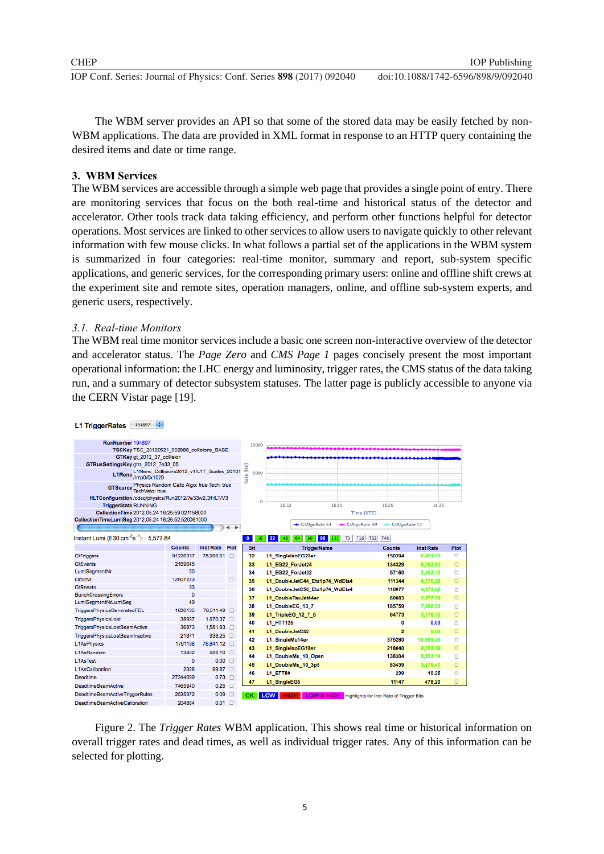The WBM server provides an API so that some of the stored data may be easily fetched by non-WBM applications. The data are provided in XML format in response to an HTTP query containing the desired items and date or time range.

#### **3. WBM Services**

The WBM services are accessible through a simple web page that provides a single point of entry. There are monitoring services that focus on the both real-time and historical status of the detector and accelerator. Other tools track data taking efficiency, and perform other functions helpful for detector operations. Most services are linked to other services to allow users to navigate quickly to other relevant information with few mouse clicks. In what follows a partial set of the applications in the WBM system is summarized in four categories: real-time monitor, summary and report, sub-system specific applications, and generic services, for the corresponding primary users: online and offline shift crews at the experiment site and remote sites, operation managers, online, and offline sub-system experts, and generic users, respectively.

#### *3.1. Real-time Monitors*

 $\overline{1}$   $\overline{1}$   $\overline{1}$   $\overline{1}$   $\overline{1}$   $\overline{1}$   $\overline{1}$   $\overline{1}$   $\overline{1}$   $\overline{1}$   $\overline{1}$   $\overline{1}$   $\overline{1}$   $\overline{1}$   $\overline{1}$   $\overline{1}$   $\overline{1}$   $\overline{1}$   $\overline{1}$   $\overline{1}$   $\overline{1}$   $\overline{1}$   $\overline{1}$   $\overline{1}$   $\overline{$ 

The WBM real time monitor services include a basic one screen non-interactive overview of the detector and accelerator status. The *Page Zero* and *CMS Page 1* pages concisely present the most important operational information: the LHC energy and luminosity, trigger rates, the CMS status of the data taking run, and a summary of detector subsystem statuses. The latter page is publicly accessible to anyone via the CERN Vistar page [19].

| L'i inggerkates<br>$134031 +$                                         |               |                                |        |           |                                                                           |                         |                  |        |
|-----------------------------------------------------------------------|---------------|--------------------------------|--------|-----------|---------------------------------------------------------------------------|-------------------------|------------------|--------|
| RunNumber 194897                                                      |               |                                |        |           |                                                                           |                         |                  |        |
| TSCKey TSC 20120521 002888 collisions BASE                            |               | 10000                          |        |           |                                                                           |                         |                  |        |
| GTKey gt_2012_37_collision                                            |               |                                |        |           |                                                                           |                         |                  |        |
| GTRunSettingsKey gtrs 2012 7e33 05                                    |               |                                |        |           |                                                                           |                         |                  |        |
| L1Menu_Collisions2012_v1/L1T_Scales_20101<br>L1Menu<br>/Imp0/0x1029   |               | $\overline{H}$<br>5000<br>Rate |        |           |                                                                           |                         |                  |        |
| GTSource Physics Random Calib Algo: true Tech: true<br>TechVeto: true |               |                                |        |           |                                                                           |                         |                  |        |
| HLTConfiguration /cdaq/physics/Run2012/7e33/v2.3/HLT/V3               |               |                                |        | O         |                                                                           |                         |                  |        |
| <b>TriggerState RUNNING</b>                                           |               |                                |        |           | 16:10<br>16:15                                                            | 16:20                   | 16:25            |        |
| CollectionTime 2012.05.24 16:26:59.021158000                          |               |                                |        |           | Time [UTC]                                                                |                         |                  |        |
| CollectionTimeLumiSeg 2012.05.24 16:26:52.520061000                   |               |                                |        |           | GtAlgoRate 63<br><b>GtAlgoRate 49</b>                                     | - GtAlgoRate 11         |                  |        |
|                                                                       |               |                                |        |           |                                                                           |                         |                  |        |
| Instant Lumi (E30 cm <sup>-2</sup> s <sup>-1</sup> ): 5,572.84        |               |                                |        | $\circ$ 1 | T16 T32 T48<br>96<br>16<br>32<br>80<br>T <sub>0</sub><br>48<br>64.<br>112 |                         |                  |        |
|                                                                       | <b>Counts</b> | <b>Inst Rate</b>               | Plot   | Bit       | <b>TriggerName</b>                                                        | <b>Counts</b>           | <b>Inst Rate</b> | Plot   |
| GtTriggers                                                            | 91226337      | 78,966.61                      |        | 32        | L1_SingleIsoEG20er                                                        | 150394                  | 6,451.80         | Θ      |
| <b>GtEvents</b>                                                       | 2169645       |                                |        | 33        | L1 EG22 ForJet24                                                          | 134329                  | 5.762.62         | $\Box$ |
| LumiSegmentNr                                                         | 50            |                                |        | 34        | L1 EG22 ForJet32                                                          | 57160                   | 2,452.12         | Θ      |
| OrbitNr                                                               | 12907223      |                                | o      | 35        | L1 DoubleJetC44 Eta1p74 WdEta4                                            | 111344                  | 4.776.58         | $\Box$ |
| <b>GtResets</b>                                                       | 33            |                                |        | 36        | L1 DoubleJetC56 Eta1p74 WdEta4                                            | 116077                  | 4,979.62         | ⊟      |
| BunchCrossingErrors                                                   | 0             |                                |        | 37        | L1 DoubleTauJet44er                                                       | 60083                   | 2.577.52         | $\Box$ |
| LumiSegmentNrLumiSeg                                                  | 49            |                                |        | 38        | L1 DoubleEG 13 7                                                          | 185759                  | 7,968.93         | ℮      |
| TriggersPhysicsGeneratedFDL                                           | 1830135       | 78,511.49                      |        |           |                                                                           |                         |                  |        |
| TriggersPhysicsLost                                                   | 38937         | 1,670.37                       |        | 39        | L1 TripleEG 12 7 5                                                        | 64773                   | 2,778.72         | $\Box$ |
| TriggersPhysicsLostBeamActive                                         | 36873         | 1,581.83                       |        | 40        | <b>L1_HTT125</b>                                                          | 0                       | 0.00             | ⊝      |
| TriggersPhysicsLostBeamInactive                                       | 21871         | 938.25                         |        | 41        | L1 DoubleJetC52                                                           | $\overline{\mathbf{2}}$ | 0.09             | $\Box$ |
| L1AsPhysics                                                           | 1791198       | 76,841.12                      | $\Box$ | 42        | L1_SingleMu14er                                                           | 375280                  | 16,099.25        | ℮      |
| L1AsRandom                                                            | 13802         | 592.10 0                       |        | 43        | L1 SingleIsoEG18er                                                        | 218040                  | 9,353.76         | $\Box$ |
| L1AsTest                                                              | o             | $0.00$ $\Box$                  |        | 44        | L1_DoubleMu_10_Open                                                       | 138304                  | 5,933.14         | ⊝      |
|                                                                       |               |                                |        | 45        | L1 DoubleMu 10 3p5                                                        | 83439                   | 3.579.47         | $\Box$ |
| L1AsCalibration                                                       | 2328          | 99.87                          |        | 46        | <b>L1_ETT80</b>                                                           | 239                     | 10.25            | ⊟      |
| Deadtime                                                              | 27244099      | 0.73                           | $\Box$ | 47        | L1_SingleEG5                                                              | 11147                   | 478.20           | $\Box$ |
| <b>DeadtimeBeamActive</b>                                             | 7465940       | 0.25                           | $\Box$ |           |                                                                           |                         |                  |        |
| DeadtimeBeamActiveTriggerRules                                        | 2535372       | 0.09                           | $\Box$ | OK        | LOW & HIGH Highlights for Inst Rate of Trigger Bits<br><b>LOW</b>         |                         |                  |        |
| DeadtimeBeamActiveCalibration                                         | 204864        | $0.01$ $\Box$                  |        |           |                                                                           |                         |                  |        |

Figure 2. The *Trigger Rates* WBM application. This shows real time or historical information on overall trigger rates and dead times, as well as individual trigger rates. Any of this information can be selected for plotting.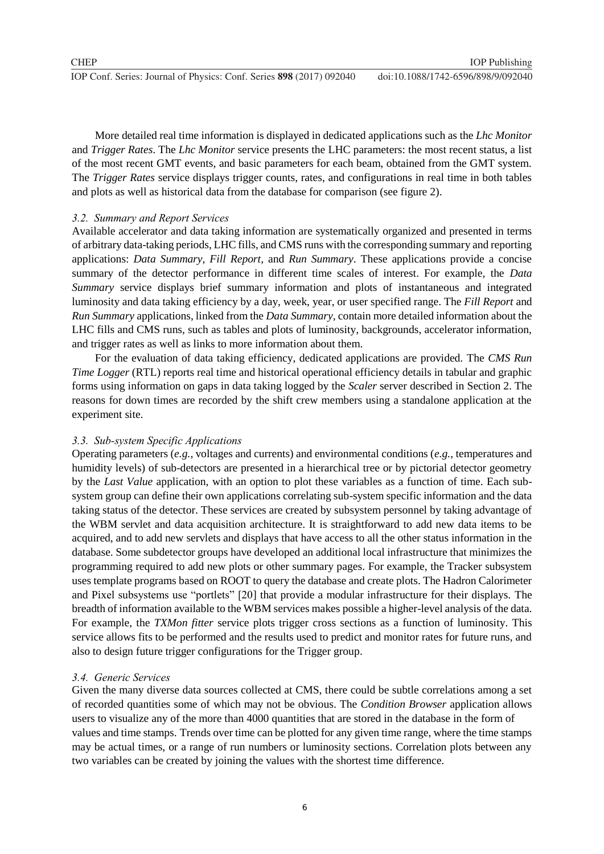**1234567890** IOP Conf. Series: Journal of Physics: Conf. Series **898** (2017) 092040 doi :10.1088/1742-6596/898/9/092040

More detailed real time information is displayed in dedicated applications such as the *Lhc Monitor* and *Trigger Rates*. The *Lhc Monitor* service presents the LHC parameters: the most recent status, a list of the most recent GMT events, and basic parameters for each beam, obtained from the GMT system. The *Trigger Rates* service displays trigger counts, rates, and configurations in real time in both tables and plots as well as historical data from the database for comparison (see figure 2).

#### *3.2. Summary and Report Services*

Available accelerator and data taking information are systematically organized and presented in terms of arbitrary data-taking periods, LHC fills, and CMS runs with the corresponding summary and reporting applications: *Data Summary, Fill Report*, and *Run Summary*. These applications provide a concise summary of the detector performance in different time scales of interest. For example, the *Data Summary* service displays brief summary information and plots of instantaneous and integrated luminosity and data taking efficiency by a day, week, year, or user specified range. The *Fill Report* and *Run Summary* applications, linked from the *Data Summary*, contain more detailed information about the LHC fills and CMS runs, such as tables and plots of luminosity, backgrounds, accelerator information, and trigger rates as well as links to more information about them.

For the evaluation of data taking efficiency, dedicated applications are provided. The *CMS Run Time Logger* (RTL) reports real time and historical operational efficiency details in tabular and graphic forms using information on gaps in data taking logged by the *Scaler* server described in Section 2. The reasons for down times are recorded by the shift crew members using a standalone application at the experiment site.

#### *3.3. Sub-system Specific Applications*

Operating parameters (*e.g.*, voltages and currents) and environmental conditions (*e.g.*, temperatures and humidity levels) of sub-detectors are presented in a hierarchical tree or by pictorial detector geometry by the *Last Value* application, with an option to plot these variables as a function of time. Each subsystem group can define their own applications correlating sub-system specific information and the data taking status of the detector. These services are created by subsystem personnel by taking advantage of the WBM servlet and data acquisition architecture. It is straightforward to add new data items to be acquired, and to add new servlets and displays that have access to all the other status information in the database. Some subdetector groups have developed an additional local infrastructure that minimizes the programming required to add new plots or other summary pages. For example, the Tracker subsystem uses template programs based on ROOT to query the database and create plots. The Hadron Calorimeter and Pixel subsystems use "portlets" [20] that provide a modular infrastructure for their displays. The breadth of information available to the WBM services makes possible a higher-level analysis of the data. For example, the *TXMon fitter* service plots trigger cross sections as a function of luminosity. This service allows fits to be performed and the results used to predict and monitor rates for future runs, and also to design future trigger configurations for the Trigger group.

#### *3.4. Generic Services*

Given the many diverse data sources collected at CMS, there could be subtle correlations among a set of recorded quantities some of which may not be obvious. The *Condition Browser* application allows users to visualize any of the more than 4000 quantities that are stored in the database in the form of values and time stamps. Trends over time can be plotted for any given time range, where the time stamps may be actual times, or a range of run numbers or luminosity sections. Correlation plots between any two variables can be created by joining the values with the shortest time difference.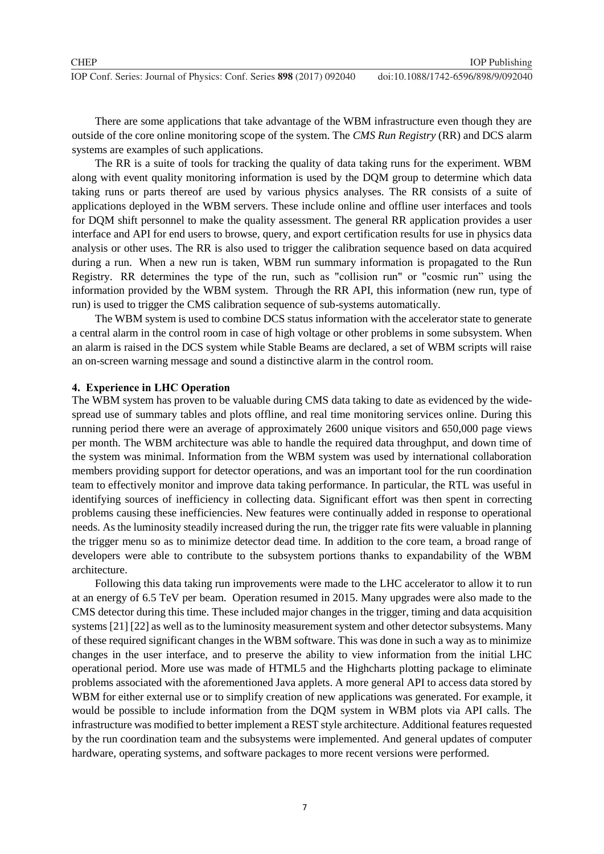| <b>CHEP</b>                                                          | <b>IOP</b> Publishing              |
|----------------------------------------------------------------------|------------------------------------|
| IOP Conf. Series: Journal of Physics: Conf. Series 898 (2017) 092040 | doi:10.1088/1742-6596/898/9/092040 |

There are some applications that take advantage of the WBM infrastructure even though they are outside of the core online monitoring scope of the system. The *CMS Run Registry* (RR) and DCS alarm systems are examples of such applications.

The RR is a suite of tools for tracking the quality of data taking runs for the experiment. WBM along with event quality monitoring information is used by the DQM group to determine which data taking runs or parts thereof are used by various physics analyses. The RR consists of a suite of applications deployed in the WBM servers. These include online and offline user interfaces and tools for DQM shift personnel to make the quality assessment. The general RR application provides a user interface and API for end users to browse, query, and export certification results for use in physics data analysis or other uses. The RR is also used to trigger the calibration sequence based on data acquired during a run. When a new run is taken, WBM run summary information is propagated to the Run Registry. RR determines the type of the run, such as "collision run" or "cosmic run" using the information provided by the WBM system. Through the RR API, this information (new run, type of run) is used to trigger the CMS calibration sequence of sub-systems automatically.

The WBM system is used to combine DCS status information with the accelerator state to generate a central alarm in the control room in case of high voltage or other problems in some subsystem. When an alarm is raised in the DCS system while Stable Beams are declared, a set of WBM scripts will raise an on-screen warning message and sound a distinctive alarm in the control room.

#### **4. Experience in LHC Operation**

The WBM system has proven to be valuable during CMS data taking to date as evidenced by the widespread use of summary tables and plots offline, and real time monitoring services online. During this running period there were an average of approximately 2600 unique visitors and 650,000 page views per month. The WBM architecture was able to handle the required data throughput, and down time of the system was minimal. Information from the WBM system was used by international collaboration members providing support for detector operations, and was an important tool for the run coordination team to effectively monitor and improve data taking performance. In particular, the RTL was useful in identifying sources of inefficiency in collecting data. Significant effort was then spent in correcting problems causing these inefficiencies. New features were continually added in response to operational needs. As the luminosity steadily increased during the run, the trigger rate fits were valuable in planning the trigger menu so as to minimize detector dead time. In addition to the core team, a broad range of developers were able to contribute to the subsystem portions thanks to expandability of the WBM architecture.

Following this data taking run improvements were made to the LHC accelerator to allow it to run at an energy of 6.5 TeV per beam. Operation resumed in 2015. Many upgrades were also made to the CMS detector during this time. These included major changes in the trigger, timing and data acquisition systems [21] [22] as well as to the luminosity measurement system and other detector subsystems. Many of these required significant changes in the WBM software. This was done in such a way as to minimize changes in the user interface, and to preserve the ability to view information from the initial LHC operational period. More use was made of HTML5 and the Highcharts plotting package to eliminate problems associated with the aforementioned Java applets. A more general API to access data stored by WBM for either external use or to simplify creation of new applications was generated. For example, it would be possible to include information from the DQM system in WBM plots via API calls. The infrastructure was modified to better implement a REST style architecture. Additional features requested by the run coordination team and the subsystems were implemented. And general updates of computer hardware, operating systems, and software packages to more recent versions were performed.